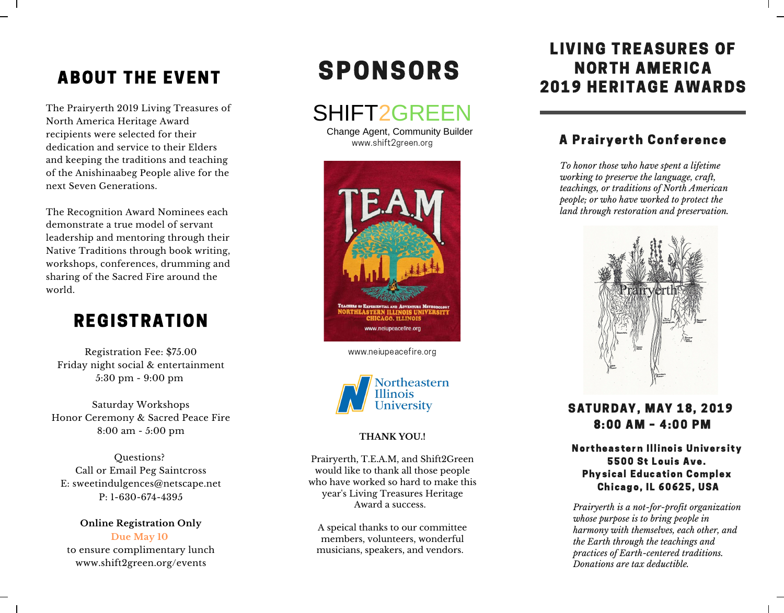# ABOUT THE EVENT

The Prairyerth 2019 Living Treasures of North America Heritage Award recipients were selected for their dedication and service to their Elders and keeping the traditions and teaching of the Anishinaabeg People alive for the next Seven Generations.

The Recognition Award Nominees each demonstrate a true model of servant leadership and mentoring through their Native Traditions through book writing, workshops, conferences, drumming and sharing of the Sacred Fire around the world.

# **REGISTRATION**

Registration Fee: \$75.00 Friday night social & entertainment 5:30 pm - 9:00 pm

Saturday Workshops Honor Ceremony & Sacred Peace Fire 8:00 am - 5:00 pm

Questions? Call or Email Peg Saintcross E: sweetindulgences@netscape.net P: 1-630-674-4395

**Online Registration Only Due May 10** to ensure complimentary lunch www.shift2green.org/events

# SPONSORS

SHIFT2GREEN

www.shift2green.org Change Agent, Community Builder



www.neiupeacefire.org



### **THANK YOU.!**

Prairyerth, T.E.A.M, and Shift2Green would like to thank all those people who have worked so hard to make this year's Living Treasures Heritage Award a success.

A speical thanks to our committee members, volunteers, wonderful musicians, speakers, and vendors.

## LIVING TREASURES OF NORTH AMERICA 2019 HERITAGE AWARDS

### A Prairyerth Conference

*To honor those who have spent a lifetime working to preserve the language, craft, teachings, or traditions of North American people; or who have worked to protect the land through restoration and preservation.*



### SATURDAY, MAY 18, 2019 8:00 AM – 4:00 PM

Northeastern Illinois University 5500 St Louis Ave. Physical Education Complex Chicago, IL 60625, USA

*Prairyerth is a not-for-profit organization whose purpose is to bring people in harmony with themselves, each other, and the Earth through the teachings and practices of Earth-centered traditions. Donations are tax deductible.*